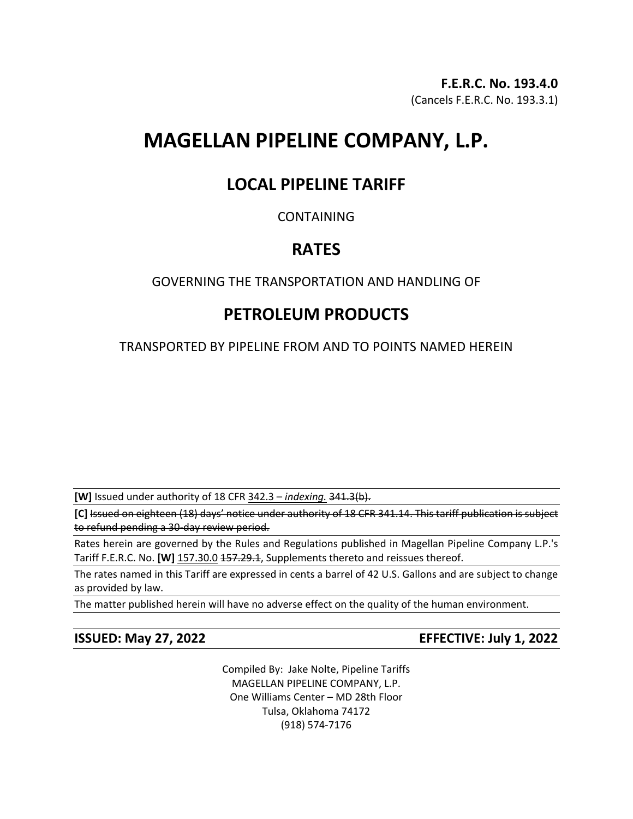# **MAGELLAN PIPELINE COMPANY, L.P.**

## **LOCAL PIPELINE TARIFF**

## CONTAINING

## **RATES**

## GOVERNING THE TRANSPORTATION AND HANDLING OF

# **PETROLEUM PRODUCTS**

TRANSPORTED BY PIPELINE FROM AND TO POINTS NAMED HEREIN

**[W]** Issued under authority of 18 CFR 342.3 – *indexing.* 341.3(b).

**[C]** Issued on eighteen (18) days' notice under authority of 18 CFR 341.14. This tariff publication is subject to refund pending a 30-day review period.

Rates herein are governed by the Rules and Regulations published in Magellan Pipeline Company L.P.'s Tariff F.E.R.C. No. **[W]** 157.30.0 157.29.1, Supplements thereto and reissues thereof.

The rates named in this Tariff are expressed in cents a barrel of 42 U.S. Gallons and are subject to change as provided by law.

The matter published herein will have no adverse effect on the quality of the human environment.

**ISSUED: May 27, 2022 EFFECTIVE: July 1, 2022**

Compiled By: Jake Nolte, Pipeline Tariffs MAGELLAN PIPELINE COMPANY, L.P. One Williams Center – MD 28th Floor Tulsa, Oklahoma 74172 (918) 574-7176